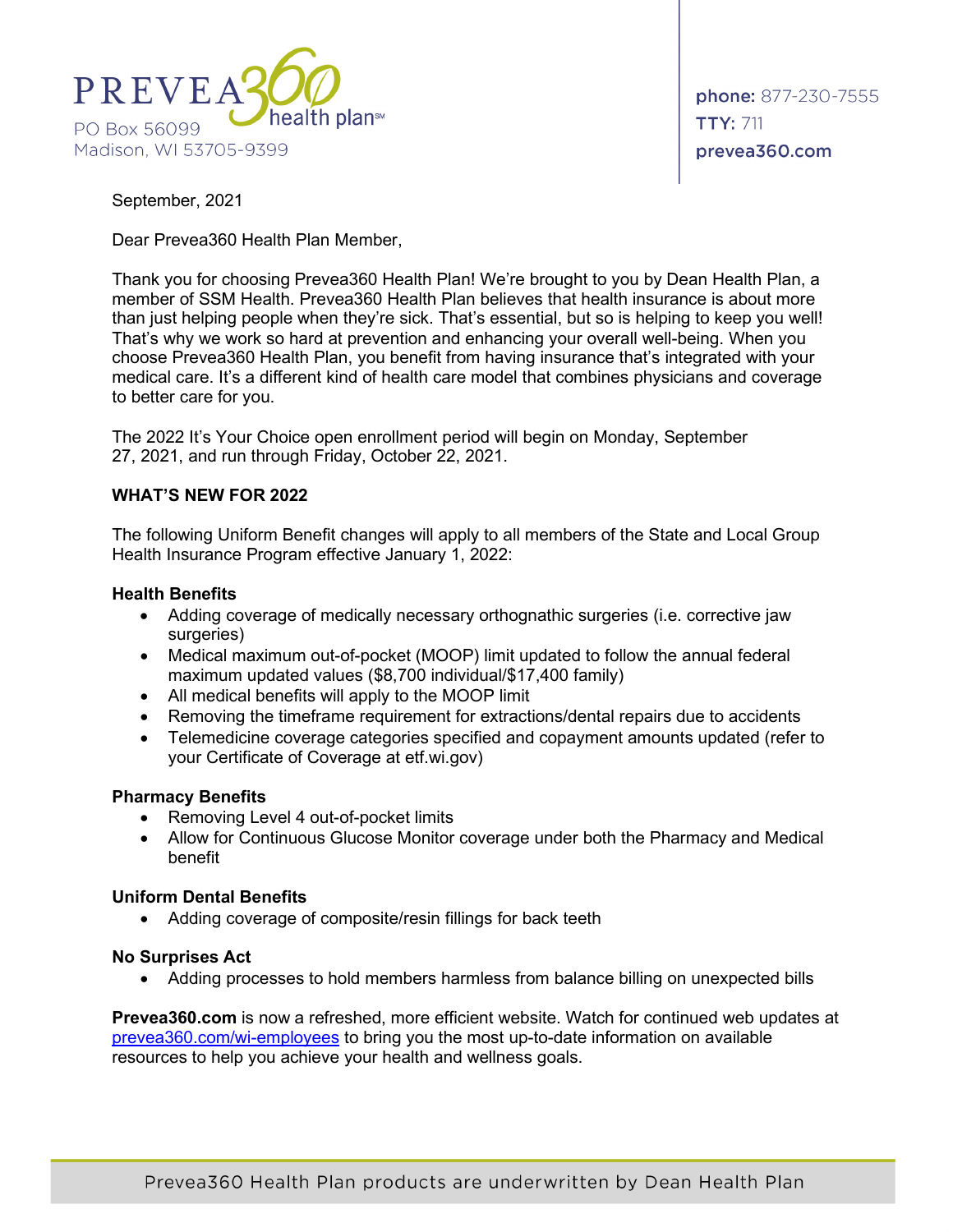

September, 2021

Dear Prevea360 Health Plan Member,

Thank you for choosing Prevea360 Health Plan! We're brought to you by Dean Health Plan, a member of SSM Health. Prevea360 Health Plan believes that health insurance is about more than just helping people when they're sick. That's essential, but so is helping to keep you well! That's why we work so hard at prevention and enhancing your overall well-being. When you choose Prevea360 Health Plan, you benefit from having insurance that's integrated with your medical care. It's a different kind of health care model that combines physicians and coverage to better care for you.

The 2022 It's Your Choice open enrollment period will begin on Monday, September 27, 2021, and run through Friday, October 22, 2021.

## **WHAT'S NEW FOR 2022**

The following Uniform Benefit changes will apply to all members of the State and Local Group Health Insurance Program effective January 1, 2022:

### **Health Benefits**

- Adding coverage of medically necessary orthognathic surgeries (i.e. corrective jaw surgeries)
- Medical maximum out-of-pocket (MOOP) limit updated to follow the annual federal maximum updated values (\$8,700 individual/\$17,400 family)
- All medical benefits will apply to the MOOP limit
- Removing the timeframe requirement for extractions/dental repairs due to accidents
- Telemedicine coverage categories specified and copayment amounts updated (refer to your Certificate of Coverage at etf.wi.gov)

### **Pharmacy Benefits**

- Removing Level 4 out-of-pocket limits
- Allow for Continuous Glucose Monitor coverage under both the Pharmacy and Medical benefit

## **Uniform Dental Benefits**

• Adding coverage of composite/resin fillings for back teeth

### **No Surprises Act**

• Adding processes to hold members harmless from balance billing on unexpected bills

**Prevea360.com** is now a refreshed, more efficient website. Watch for continued web updates at [prevea360.com/wi-employees](https://www.prevea360.com/Members/State-of-Wisconsin-Members) to bring you the most up-to-date information on available resources to help you achieve your health and wellness goals.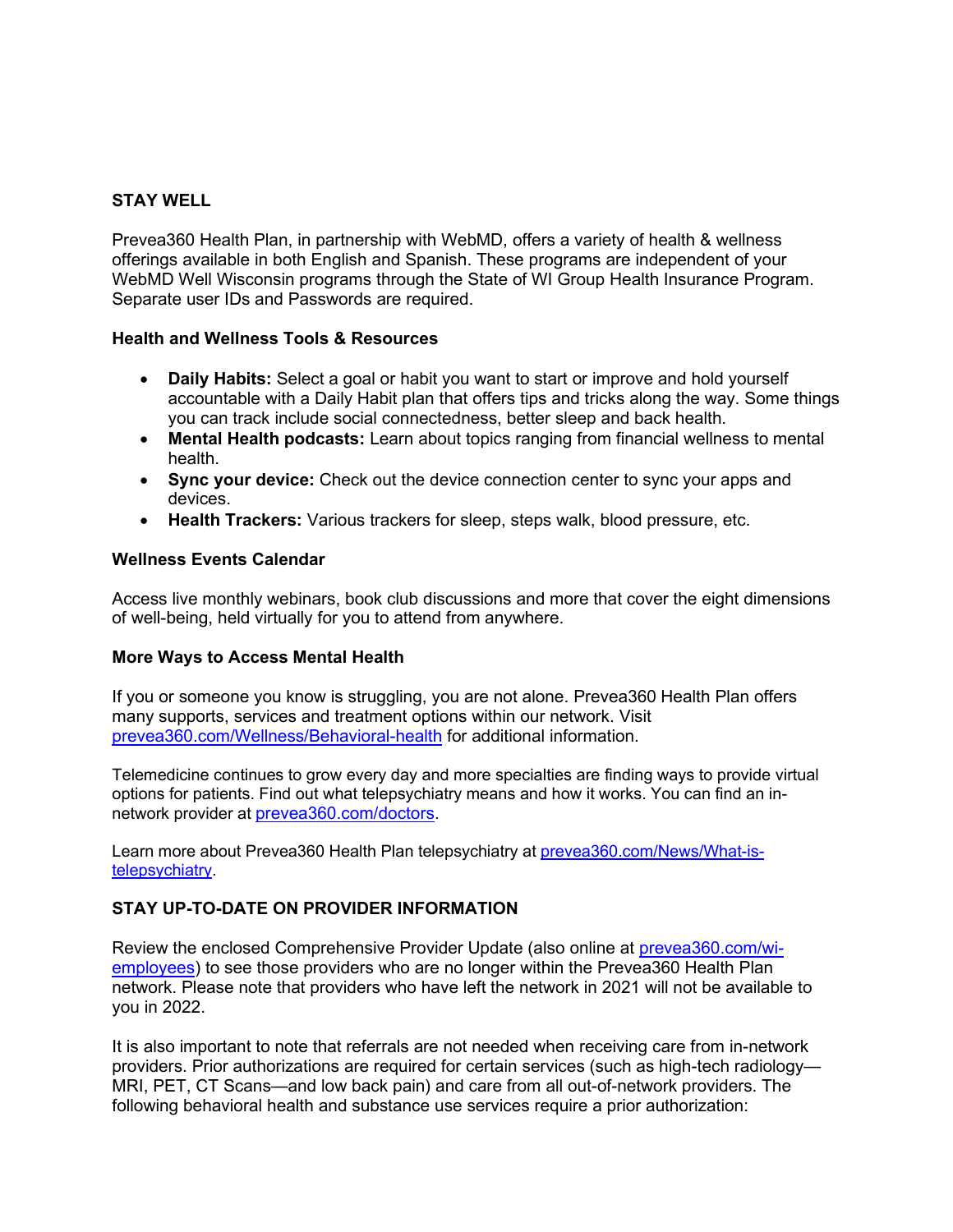# **STAY WELL**

Prevea360 Health Plan, in partnership with WebMD, offers a variety of health & wellness offerings available in both English and Spanish. These programs are independent of your WebMD Well Wisconsin programs through the State of WI Group Health Insurance Program. Separate user IDs and Passwords are required.

## **Health and Wellness Tools & Resources**

- **Daily Habits:** Select a goal or habit you want to start or improve and hold yourself accountable with a Daily Habit plan that offers tips and tricks along the way. Some things you can track include social connectedness, better sleep and back health.
- **Mental Health podcasts:** Learn about topics ranging from financial wellness to mental health.
- **Sync your device:** Check out the device connection center to sync your apps and devices.
- **Health Trackers:** Various trackers for sleep, steps walk, blood pressure, etc.

## **Wellness Events Calendar**

Access live monthly webinars, book club discussions and more that cover the eight dimensions of well-being, held virtually for you to attend from anywhere.

### **More Ways to Access Mental Health**

If you or someone you know is struggling, you are not alone. Prevea360 Health Plan offers many supports, services and treatment options within our network. Visit [prevea360.com/Wellness/Behavioral-health](https://prevea360.com/Wellness/Behavioral-health) for additional information.

Telemedicine continues to grow every day and more specialties are finding ways to provide virtual options for patients. Find out what telepsychiatry means and how it works. You can find an innetwork provider at [prevea360.com/doctors.](https://prevea360.com/Find-A-Doctor)

Learn more about Prevea360 Health Plan telepsychiatry at [prevea360.com/News/What-is](https://prevea360.com/News/What-is-telepsychiatry)[telepsychiatry.](https://prevea360.com/News/What-is-telepsychiatry)

## **STAY UP-TO-DATE ON PROVIDER INFORMATION**

Review the enclosed Comprehensive Provider Update (also online at [prevea360.com/wi](https://www.prevea360.com/Members/State-of-Wisconsin-Members)[employees\)](https://www.prevea360.com/Members/State-of-Wisconsin-Members) to see those providers who are no longer within the Prevea360 Health Plan network. Please note that providers who have left the network in 2021 will not be available to you in 2022.

It is also important to note that referrals are not needed when receiving care from in-network providers. Prior authorizations are required for certain services (such as high-tech radiology— MRI, PET, CT Scans—and low back pain) and care from all out-of-network providers. The following behavioral health and substance use services require a prior authorization: